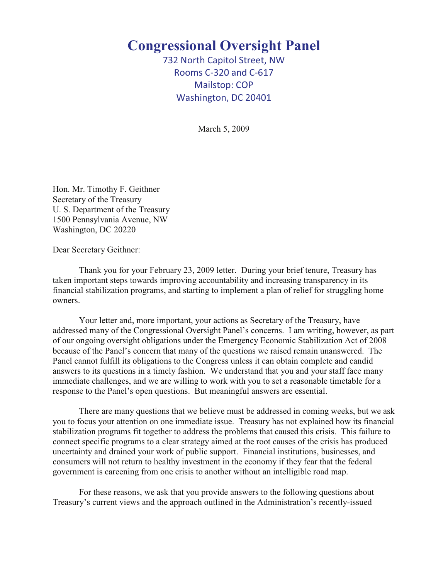## **Congressional Oversight Panel**

732 North Capitol Street, NW Rooms C-320 and C-617 Mailstop: COP Washington, DC 20401

March 5, 2009

Hon. Mr. Timothy F. Geithner Secretary of the Treasury U. S. Department of the Treasury 1500 Pennsylvania Avenue, NW Washington, DC 20220

Dear Secretary Geithner:

Thank you for your February 23, 2009 letter. During your brief tenure, Treasury has taken important steps towards improving accountability and increasing transparency in its financial stabilization programs, and starting to implement a plan of relief for struggling home owners.

Your letter and, more important, your actions as Secretary of the Treasury, have addressed many of the Congressional Oversight Panel's concerns. I am writing, however, as part of our ongoing oversight obligations under the Emergency Economic Stabilization Act of 2008 because of the Panel's concern that many of the questions we raised remain unanswered. The Panel cannot fulfill its obligations to the Congress unless it can obtain complete and candid answers to its questions in a timely fashion. We understand that you and your staff face many immediate challenges, and we are willing to work with you to set a reasonable timetable for a response to the Panel's open questions. But meaningful answers are essential.

There are many questions that we believe must be addressed in coming weeks, but we ask you to focus your attention on one immediate issue. Treasury has not explained how its financial stabilization programs fit together to address the problems that caused this crisis. This failure to connect specific programs to a clear strategy aimed at the root causes of the crisis has produced uncertainty and drained your work of public support. Financial institutions, businesses, and consumers will not return to healthy investment in the economy if they fear that the federal government is careening from one crisis to another without an intelligible road map.

For these reasons, we ask that you provide answers to the following questions about Treasury's current views and the approach outlined in the Administration's recently-issued